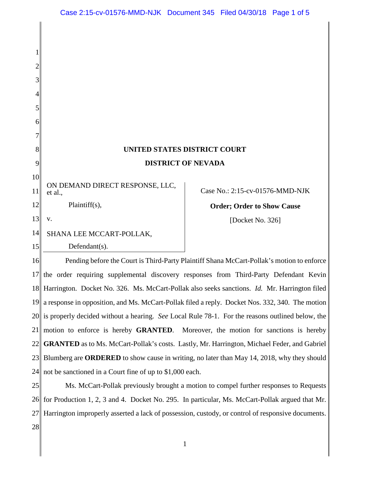| UNITED STATES DISTRICT COURT |
|------------------------------|
| <b>DISTRICT OF NEVADA</b>    |

ON DEMAND DIRECT RESPONSE, LLC, et al.,

Plaintiff(s),

13 v.

1

2

3

4

5

6

7

8

9

10

11

12

14 SHANA LEE MCCART-POLLAK,

15

Defendant(s).

## Case No.: 2:15-cv-01576-MMD-NJK

**Order; Order to Show Cause**

[Docket No. 326]

16 17 18 19 20 21 22 23 24 Pending before the Court is Third-Party Plaintiff Shana McCart-Pollak's motion to enforce the order requiring supplemental discovery responses from Third-Party Defendant Kevin Harrington. Docket No. 326. Ms. McCart-Pollak also seeks sanctions. *Id.* Mr. Harrington filed a response in opposition, and Ms. McCart-Pollak filed a reply. Docket Nos. 332, 340. The motion is properly decided without a hearing. *See* Local Rule 78-1. For the reasons outlined below, the motion to enforce is hereby **GRANTED**. Moreover, the motion for sanctions is hereby **GRANTED** as to Ms. McCart-Pollak's costs. Lastly, Mr. Harrington, Michael Feder, and Gabriel Blumberg are **ORDERED** to show cause in writing, no later than May 14, 2018, why they should not be sanctioned in a Court fine of up to \$1,000 each.

25 261 27 28 Ms. McCart-Pollak previously brought a motion to compel further responses to Requests for Production 1, 2, 3 and 4. Docket No. 295. In particular, Ms. McCart-Pollak argued that Mr. Harrington improperly asserted a lack of possession, custody, or control of responsive documents.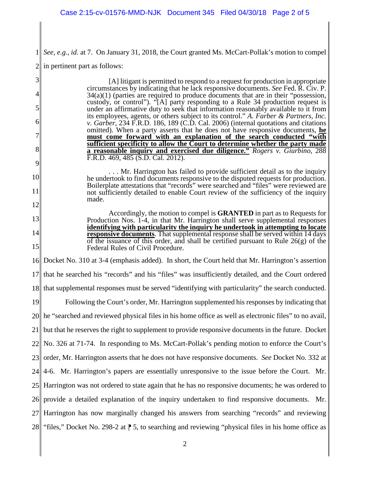1 *See, e.g.*, *id.* at 7. On January 31, 2018, the Court granted Ms. McCart-Pollak's motion to compel

2 in pertinent part as follows:

| [A] litigant is permitted to respond to a request for production in appropriate<br>circumstances by indicating that he lack responsive documents. See Fed. R. Civ. P.      |
|----------------------------------------------------------------------------------------------------------------------------------------------------------------------------|
| $34(a)(1)$ (parties are required to produce documents that are in their "possession,                                                                                       |
| custody, or control"). "[A] party responding to a Rule 34 production request is<br>under an affirmative duty to seek that information reasonably available to it from      |
| its employees, agents, or others subject to its control." A. Farber & Partners, Inc.<br>v. Garber, 234 F.R.D. 186, 189 (C.D. Cal. 2006) (internal quotations and citations |
| omitted). When a party asserts that he does not have responsive documents, he<br>must come forward with an explanation of the search conducted "with                       |
| sufficient specificity to allow the Court to determine whether the party made<br>a reasonable inquiry and exercised due diligence." Rogers v. Giurbino, 288                |
| F.R.D. 469, 485 (S.D. Cal. 2012).                                                                                                                                          |
| Mr. Harrington has failed to provide sufficient detail as to the inquiry<br>he undertook to find documents responsive to the disputed requests for production.             |
| Boilerplate attestations that "records" were searched and "files" were reviewed are<br>not sufficiently detailed to enable Court review of the sufficiency of the inquiry  |
| made.                                                                                                                                                                      |
| Accordingly, the motion to compel is GRANTED in part as to Requests for<br>Production Nos. 1-4, in that Mr. Harrington shall serve supplemental responses                  |
| identifying with particularity the inquiry he undertook in attempting to locate<br>responsive documents. That supplemental response shall be served within 14 days         |
| of the issuance of this order, and shall be certified pursuant to Rule $26(g)$ of the<br>Federal Rules of Civil Procedure.                                                 |
| 16 Docket No. 310 at 3-4 (emphasis added). In short, the Court held that Mr. Harrington's assertion                                                                        |
| 17 that he searched his "records" and his "files" was insufficiently detailed, and the Court ordered                                                                       |
| 18 that supplemental responses must be served "identifying with particularity" the search conducted.                                                                       |
| Following the Court's order, Mr. Harrington supplemented his responses by indicating that                                                                                  |
| 20 he "searched and reviewed physical files in his home office as well as electronic files" to no avail,                                                                   |
| 21 but that he reserves the right to supplement to provide responsive documents in the future. Docket                                                                      |
| $22$ No. 326 at 71-74. In responding to Ms. McCart-Pollak's pending motion to enforce the Court's                                                                          |
| 23 order, Mr. Harrington asserts that he does not have responsive documents. See Docket No. 332 at                                                                         |
| 24 4-6. Mr. Harrington's papers are essentially unresponsive to the issue before the Court. Mr.                                                                            |
| 25 Harrington was not ordered to state again that he has no responsive documents; he was ordered to                                                                        |
| 26 provide a detailed explanation of the inquiry undertaken to find responsive documents. Mr.                                                                              |
| 27 Harrington has now marginally changed his answers from searching "records" and reviewing                                                                                |
| 28 "files," Docket No. 298-2 at $\uparrow$ 5, to searching and reviewing "physical files in his home office as                                                             |
| 19                                                                                                                                                                         |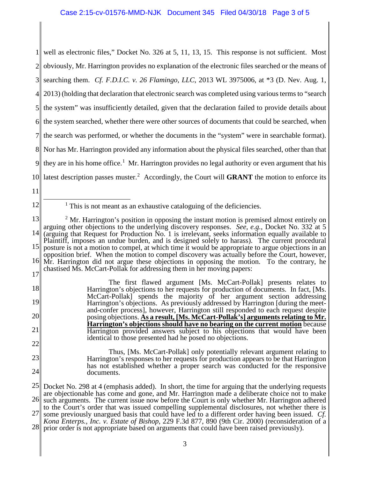1 2 3 4 5 6 7 8 9 10 well as electronic files," Docket No. 326 at 5, 11, 13, 15. This response is not sufficient. Most obviously, Mr. Harrington provides no explanation of the electronic files searched or the means of searching them. *Cf. F.D.I.C. v. 26 Flamingo, LLC*, 2013 WL 3975006, at \*3 (D. Nev. Aug. 1, 2013) (holding that declaration that electronic search was completed using various terms to "search the system" was insufficiently detailed, given that the declaration failed to provide details about the system searched, whether there were other sources of documents that could be searched, when the search was performed, or whether the documents in the "system" were in searchable format). Nor has Mr. Harrington provided any information about the physical files searched, other than that they are in his home office.<sup>1</sup> Mr. Harrington provides no legal authority or even argument that his latest description passes muster.<sup>2</sup> Accordingly, the Court will **GRANT** the motion to enforce its

- 11
- 12

25 26 27 28 Docket No. 298 at 4 (emphasis added). In short, the time for arguing that the underlying requests are objectionable has come and gone, and Mr. Harrington made a deliberate choice not to make such arguments. The current issue now before the Court is only whether Mr. Harrington adhered to the Court's order that was issued compelling supplemental disclosures, not whether there is some previously unargued basis that could have led to a different order having been issued. *Cf. Kona Enterps., Inc. v. Estate of Bishop*, 229 F.3d 877, 890 (9th Cir. 2000) (reconsideration of a prior order is not appropriate based on arguments that could have been raised previously).

3

 $<sup>1</sup>$  This is not meant as an exhaustive cataloguing of the deficiencies.</sup>

<sup>13</sup> 14 15 16 17  $2<sup>2</sup>$  Mr. Harrington's position in opposing the instant motion is premised almost entirely on arguing other objections to the underlying discovery responses. *See, e.g.*, Docket No. 332 at 5 (arguing that Request for Production No. 1 is irrelevant, seeks information equally available to Plaintiff, imposes an undue burden, and is designed solely to harass). The current procedural posture is not a motion to compel, at which time it would be appropriate to argue objections in an opposition brief. When the motion to compel discovery was actually before the Court, however, Mr. Harrington did not argue these objections in opposing the motion. To the contrary, he chastised Ms. McCart-Pollak for addressing them in her moving papers:

<sup>18</sup> 19 20 21 22 The first flawed argument [Ms. McCart-Pollak] presents relates to Harrington's objections to her requests for production of documents. In fact, [Ms. McCart-Pollak] spends the majority of her argument section addressing Harrington's objections. As previously addressed by Harrington [during the meet-<br>and-confer process], however, Harrington still responded to each request despite posing objections. **As a result, [Ms. McCart-Pollak's] arguments relating to Mr. Harrington's objections should have no bearing on the current motion** because Harrington provided answers subject to his objections that would have been identical to those presented had he posed no objections.

<sup>23</sup> 24 Thus, [Ms. McCart-Pollak] only potentially relevant argument relating to Harrington's responses to her requests for production appears to be that Harrington has not established whether a proper search was conducted for the responsive documents.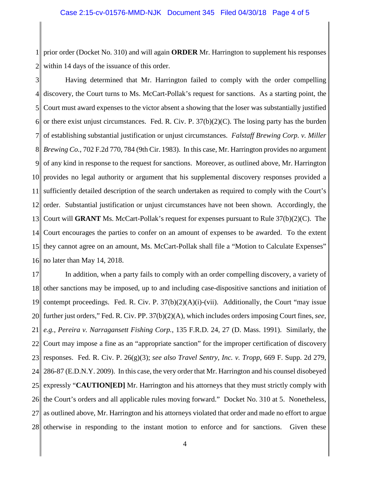1 2 prior order (Docket No. 310) and will again **ORDER** Mr. Harrington to supplement his responses within 14 days of the issuance of this order.

3 4 5 6 7 8 9 10 11 12 13 14 15 16 Having determined that Mr. Harrington failed to comply with the order compelling discovery, the Court turns to Ms. McCart-Pollak's request for sanctions. As a starting point, the Court must award expenses to the victor absent a showing that the loser was substantially justified or there exist unjust circumstances. Fed. R. Civ. P.  $37(b)(2)(C)$ . The losing party has the burden of establishing substantial justification or unjust circumstances. *Falstaff Brewing Corp. v. Miller Brewing Co.*, 702 F.2d 770, 784 (9th Cir. 1983). In this case, Mr. Harrington provides no argument of any kind in response to the request for sanctions. Moreover, as outlined above, Mr. Harrington provides no legal authority or argument that his supplemental discovery responses provided a sufficiently detailed description of the search undertaken as required to comply with the Court's order. Substantial justification or unjust circumstances have not been shown. Accordingly, the Court will **GRANT** Ms. McCart-Pollak's request for expenses pursuant to Rule 37(b)(2)(C). The Court encourages the parties to confer on an amount of expenses to be awarded. To the extent they cannot agree on an amount, Ms. McCart-Pollak shall file a "Motion to Calculate Expenses" no later than May 14, 2018.

17 18 19 20 21 22 23 24 25 26 27 28 In addition, when a party fails to comply with an order compelling discovery, a variety of other sanctions may be imposed, up to and including case-dispositive sanctions and initiation of contempt proceedings. Fed. R. Civ. P.  $37(b)(2)(A)(i)$ -(vii). Additionally, the Court "may issue further just orders," Fed. R. Civ. PP. 37(b)(2)(A), which includes orders imposing Court fines, *see, e.g.*, *Pereira v. Narragansett Fishing Corp.*, 135 F.R.D. 24, 27 (D. Mass. 1991). Similarly, the Court may impose a fine as an "appropriate sanction" for the improper certification of discovery responses. Fed. R. Civ. P. 26(g)(3); *see also Travel Sentry, Inc. v. Tropp*, 669 F. Supp. 2d 279, 286-87 (E.D.N.Y. 2009). In this case, the very order that Mr. Harrington and his counsel disobeyed expressly "**CAUTION[ED]** Mr. Harrington and his attorneys that they must strictly comply with the Court's orders and all applicable rules moving forward." Docket No. 310 at 5. Nonetheless, as outlined above, Mr. Harrington and his attorneys violated that order and made no effort to argue otherwise in responding to the instant motion to enforce and for sanctions. Given these